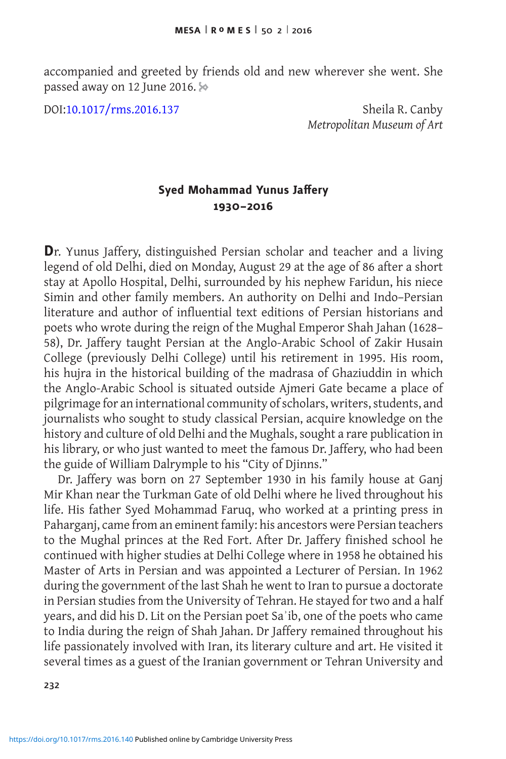accompanied and greeted by friends old and new wherever she went. She passed away on 12 June 2016.

DOI[:10.1017/rms.2016.137](http://dx.doi.org/10.1017/rms.2016.137) Sheila R. Canby

*Metropolitan Museum of Art*

## **Syed Mohammad Yunus Jaffery 1930–2016**

**D**r. Yunus Jaffery, distinguished Persian scholar and teacher and a living legend of old Delhi, died on Monday, August 29 at the age of 86 after a short stay at Apollo Hospital, Delhi, surrounded by his nephew Faridun, his niece Simin and other family members. An authority on Delhi and Indo–Persian literature and author of influential text editions of Persian historians and poets who wrote during the reign of the Mughal Emperor Shah Jahan (1628– 58), Dr. Jaffery taught Persian at the Anglo-Arabic School of Zakir Husain College (previously Delhi College) until his retirement in 1995. His room, his hujra in the historical building of the madrasa of Ghaziuddin in which the Anglo-Arabic School is situated outside Ajmeri Gate became a place of pilgrimage for an international community of scholars, writers, students, and journalists who sought to study classical Persian, acquire knowledge on the history and culture of old Delhi and the Mughals, sought a rare publication in his library, or who just wanted to meet the famous Dr. Jaffery, who had been the guide of William Dalrymple to his "City of Djinns."

Dr. Jaffery was born on 27 September 1930 in his family house at Ganj Mir Khan near the Turkman Gate of old Delhi where he lived throughout his life. His father Syed Mohammad Faruq, who worked at a printing press in Paharganj, came from an eminent family: his ancestors were Persian teachers to the Mughal princes at the Red Fort. After Dr. Jaffery finished school he continued with higher studies at Delhi College where in 1958 he obtained his Master of Arts in Persian and was appointed a Lecturer of Persian. In 1962 during the government of the last Shah he went to Iran to pursue a doctorate in Persian studies from the University of Tehran. He stayed for two and a half years, and did his D. Lit on the Persian poet Saʾib, one of the poets who came to India during the reign of Shah Jahan. Dr Jaffery remained throughout his life passionately involved with Iran, its literary culture and art. He visited it several times as a guest of the Iranian government or Tehran University and